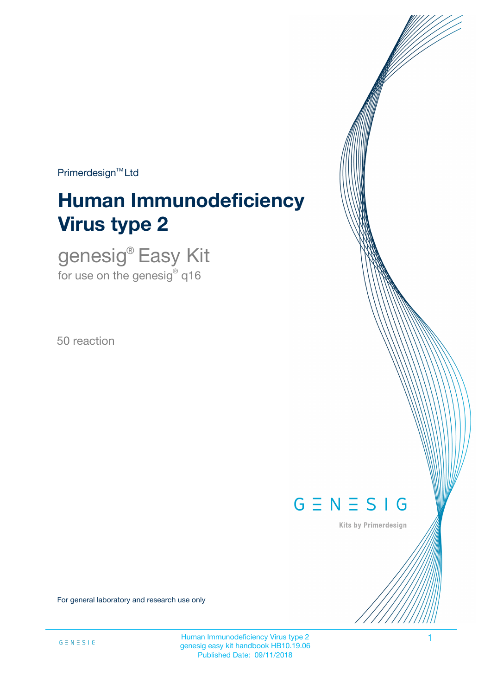Primerdesign<sup>™</sup>Ltd

# **Human Immunodeficiency Virus type 2**

genesig® Easy Kit for use on the genesig $^\circ$  q16

50 reaction



Kits by Primerdesign

For general laboratory and research use only

Human Immunodeficiency Virus type 2 1 genesig easy kit handbook HB10.19.06 Published Date: 09/11/2018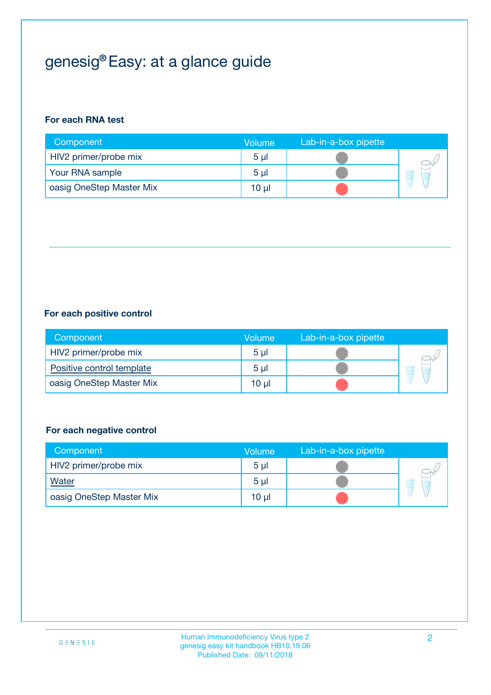## genesig® Easy: at a glance guide

### **For each RNA test**

| Component                | <b>Volume</b>  | Lab-in-a-box pipette |  |
|--------------------------|----------------|----------------------|--|
| HIV2 primer/probe mix    | 5 <sub>µ</sub> |                      |  |
| Your RNA sample          | 5 <sub>µ</sub> |                      |  |
| oasig OneStep Master Mix | 10 µl          |                      |  |

### **For each positive control**

| Component                 | Volume         | Lab-in-a-box pipette |  |
|---------------------------|----------------|----------------------|--|
| HIV2 primer/probe mix     | 5 <sub>µ</sub> |                      |  |
| Positive control template | 5 <sub>µ</sub> |                      |  |
| oasig OneStep Master Mix  | 10 µl          |                      |  |

### **For each negative control**

| Component                | <b>Volume</b>  | Lab-in-a-box pipette |   |
|--------------------------|----------------|----------------------|---|
| HIV2 primer/probe mix    | 5 <sub>µ</sub> |                      |   |
| <b>Water</b>             | 5 <sub>µ</sub> |                      | Ē |
| oasig OneStep Master Mix | 10 µl          |                      |   |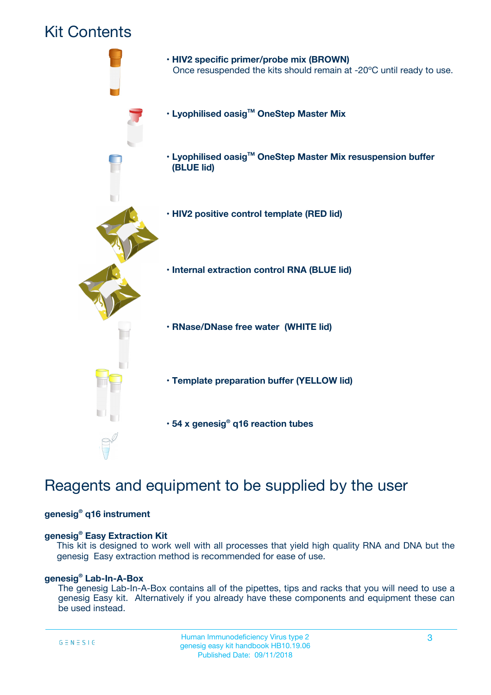## Kit Contents



## Reagents and equipment to be supplied by the user

### **genesig® q16 instrument**

### **genesig® Easy Extraction Kit**

This kit is designed to work well with all processes that yield high quality RNA and DNA but the genesig Easy extraction method is recommended for ease of use.

### **genesig® Lab-In-A-Box**

The genesig Lab-In-A-Box contains all of the pipettes, tips and racks that you will need to use a genesig Easy kit. Alternatively if you already have these components and equipment these can be used instead.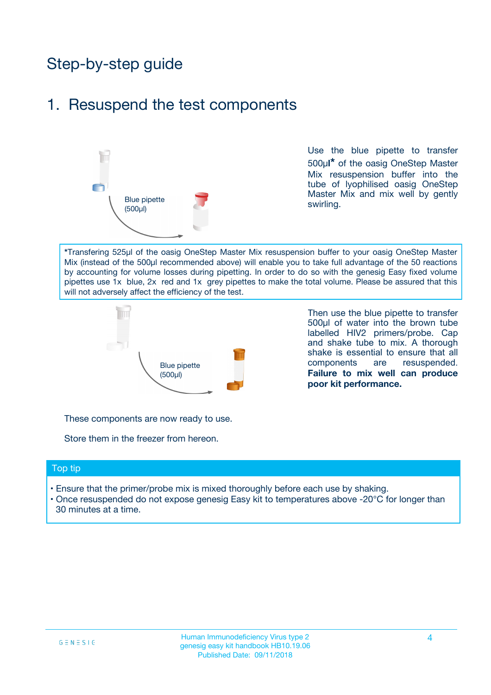## Step-by-step guide

## 1. Resuspend the test components



Use the blue pipette to transfer 500µ**l\*** of the oasig OneStep Master Mix resuspension buffer into the tube of lyophilised oasig OneStep Master Mix and mix well by gently swirling.

**\***Transfering 525µl of the oasig OneStep Master Mix resuspension buffer to your oasig OneStep Master Mix (instead of the 500µl recommended above) will enable you to take full advantage of the 50 reactions by accounting for volume losses during pipetting. In order to do so with the genesig Easy fixed volume pipettes use 1x blue, 2x red and 1x grey pipettes to make the total volume. Please be assured that this will not adversely affect the efficiency of the test.



Then use the blue pipette to transfer 500µl of water into the brown tube labelled HIV2 primers/probe. Cap and shake tube to mix. A thorough shake is essential to ensure that all components are resuspended. **Failure to mix well can produce poor kit performance.**

These components are now ready to use.

Store them in the freezer from hereon.

### Top tip

- Ensure that the primer/probe mix is mixed thoroughly before each use by shaking.
- Once resuspended do not expose genesig Easy kit to temperatures above -20°C for longer than 30 minutes at a time.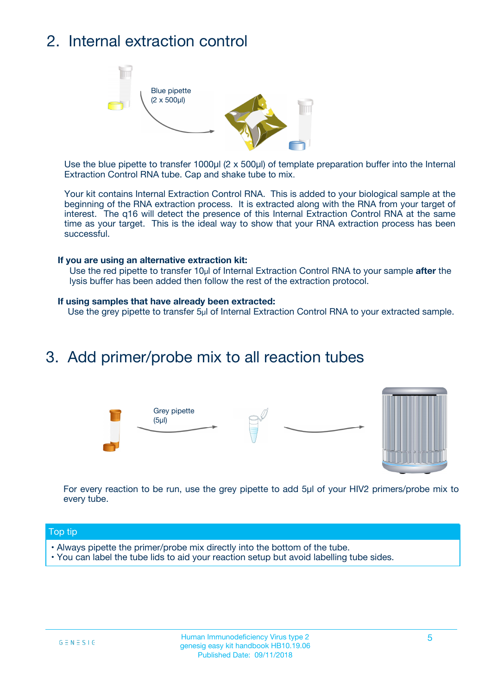## 2. Internal extraction control



Use the blue pipette to transfer 1000µl (2 x 500µl) of template preparation buffer into the Internal Extraction Control RNA tube. Cap and shake tube to mix.

Your kit contains Internal Extraction Control RNA. This is added to your biological sample at the beginning of the RNA extraction process. It is extracted along with the RNA from your target of interest. The q16 will detect the presence of this Internal Extraction Control RNA at the same time as your target. This is the ideal way to show that your RNA extraction process has been successful.

### **If you are using an alternative extraction kit:**

Use the red pipette to transfer 10µl of Internal Extraction Control RNA to your sample **after** the lysis buffer has been added then follow the rest of the extraction protocol.

#### **If using samples that have already been extracted:**

Use the grey pipette to transfer 5µl of Internal Extraction Control RNA to your extracted sample.

## 3. Add primer/probe mix to all reaction tubes





For every reaction to be run, use the grey pipette to add 5µl of your HIV2 primers/probe mix to every tube.

### Top tip

- Always pipette the primer/probe mix directly into the bottom of the tube.
- You can label the tube lids to aid your reaction setup but avoid labelling tube sides.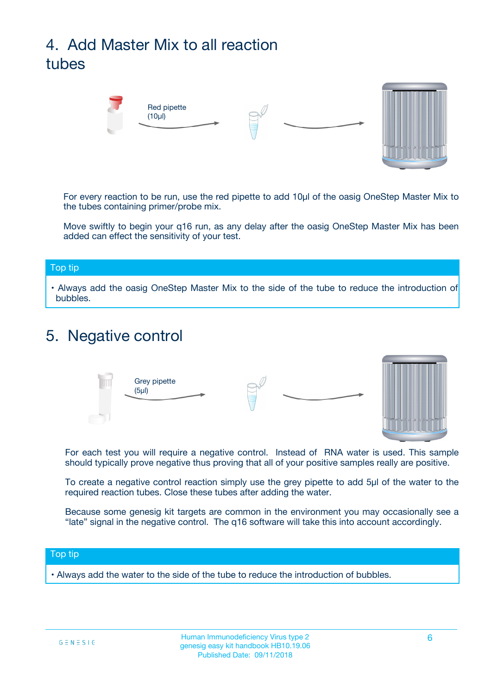## 4. Add Master Mix to all reaction tubes



For every reaction to be run, use the red pipette to add 10µl of the oasig OneStep Master Mix to the tubes containing primer/probe mix.

Move swiftly to begin your q16 run, as any delay after the oasig OneStep Master Mix has been added can effect the sensitivity of your test.

### Top tip

**•** Always add the oasig OneStep Master Mix to the side of the tube to reduce the introduction of bubbles.

## 5. Negative control



For each test you will require a negative control. Instead of RNA water is used. This sample should typically prove negative thus proving that all of your positive samples really are positive.

To create a negative control reaction simply use the grey pipette to add 5µl of the water to the required reaction tubes. Close these tubes after adding the water.

Because some genesig kit targets are common in the environment you may occasionally see a "late" signal in the negative control. The q16 software will take this into account accordingly.

### Top tip

**•** Always add the water to the side of the tube to reduce the introduction of bubbles.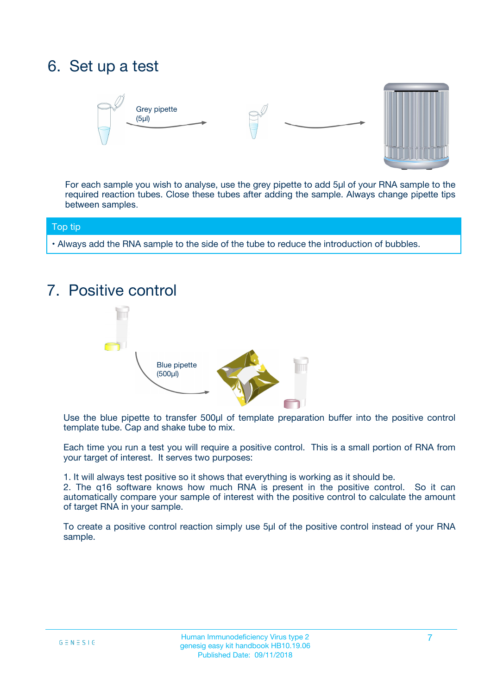## 6. Set up a test





For each sample you wish to analyse, use the grey pipette to add 5µl of your RNA sample to the required reaction tubes. Close these tubes after adding the sample. Always change pipette tips between samples.

### Top tip

**•** Always add the RNA sample to the side of the tube to reduce the introduction of bubbles.

## 7. Positive control



Use the blue pipette to transfer 500µl of template preparation buffer into the positive control template tube. Cap and shake tube to mix.

Each time you run a test you will require a positive control. This is a small portion of RNA from your target of interest. It serves two purposes:

1. It will always test positive so it shows that everything is working as it should be.

2. The q16 software knows how much RNA is present in the positive control. So it can automatically compare your sample of interest with the positive control to calculate the amount of target RNA in your sample.

To create a positive control reaction simply use 5µl of the positive control instead of your RNA sample.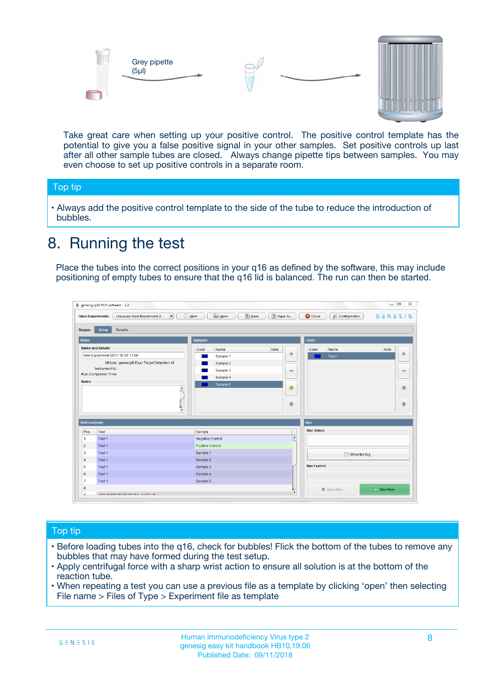



Take great care when setting up your positive control. The positive control template has the potential to give you a false positive signal in your other samples. Set positive controls up last after all other sample tubes are closed. Always change pipette tips between samples. You may even choose to set up positive controls in a separate room.

### Top tip

**•** Always add the positive control template to the side of the tube to reduce the introduction of bubbles.

## 8. Running the test

Place the tubes into the correct positions in your q16 as defined by the software, this may include positioning of empty tubes to ensure that the q16 lid is balanced. The run can then be started.

|                                                | genesig q16 PCR software - 1.2<br><b>Open Experiments:</b><br>Unsaved (New Experiment 2<br>$\overline{\phantom{a}}$                                                                                  | <b>E</b> Open<br><b>Save</b><br>Save As<br>$\sqrt{2}$ New                                                                | $\Box$<br>$\Sigma\!3$<br>$G \equiv N \equiv S \mid G$<br><b>C</b> Close<br><b>&amp; Configuration</b> |
|------------------------------------------------|------------------------------------------------------------------------------------------------------------------------------------------------------------------------------------------------------|--------------------------------------------------------------------------------------------------------------------------|-------------------------------------------------------------------------------------------------------|
| <b>Stages:</b><br><b>Notes</b>                 | Setup<br><b>Results</b>                                                                                                                                                                              | <b>Samples</b>                                                                                                           | <b>Tests</b>                                                                                          |
| <b>Notes</b>                                   | <b>Name and Details</b><br>New Experiment 2017-10-26 11:06<br>Kit type: genesig® Easy Target Detection kit<br>Instrument Id.:<br>Run Completion Time:<br>$\blacktriangle$<br>$\overline{\mathbf{v}}$ | Color<br>Name<br>Note<br>على<br>Sample 1<br>Sample 2<br>Sample 3<br>$\equiv$<br>Sample 4<br>Sample 5<br>$\bigoplus$<br>÷ | Color<br>Name<br>Note<br>÷<br>Test 1<br>$\equiv$<br>41<br>⊕                                           |
| <b>Well Contents</b>                           |                                                                                                                                                                                                      |                                                                                                                          | Run                                                                                                   |
| Pos.<br>$\blacktriangleleft$<br>$\overline{2}$ | Test<br>Test 1<br>Test 1                                                                                                                                                                             | Sample<br>Negative Control<br>Positive Control                                                                           | <b>Run Status</b><br>$\blacktriangle$                                                                 |
| 3<br>$\overline{4}$                            | Test 1<br>Test 1                                                                                                                                                                                     | Sample 1<br>Sample 2                                                                                                     | Show full log                                                                                         |
| 5<br>6<br>$\overline{7}$                       | Test 1<br>Test <sub>1</sub><br>Test 1                                                                                                                                                                | Sample 3<br>Sample 4<br>Sample 5                                                                                         | <b>Run Control</b>                                                                                    |
| 8<br>∽                                         | <b>JOD FURTY TUDE TO BALAMOE UP.</b>                                                                                                                                                                 |                                                                                                                          | $\triangleright$ Start Run<br>■ Abort Run<br>$\boldsymbol{\mathrm{v}}$                                |

### Top tip

- Before loading tubes into the q16, check for bubbles! Flick the bottom of the tubes to remove any bubbles that may have formed during the test setup.
- Apply centrifugal force with a sharp wrist action to ensure all solution is at the bottom of the reaction tube.
- When repeating a test you can use a previous file as a template by clicking 'open' then selecting File name > Files of Type > Experiment file as template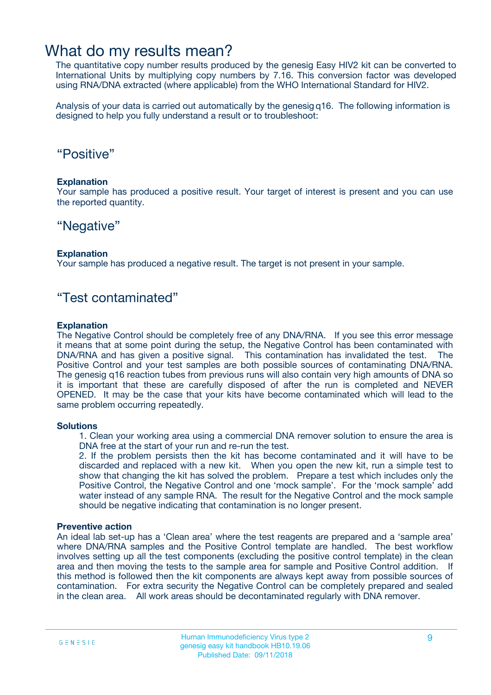## What do my results mean?

The quantitative copy number results produced by the genesig Easy HIV2 kit can be converted to International Units by multiplying copy numbers by 7.16. This conversion factor was developed using RNA/DNA extracted (where applicable) from the WHO International Standard for HIV2.

Analysis of your data is carried out automatically by the genesig q16. The following information is designed to help you fully understand a result or to troubleshoot:

## "Positive"

### **Explanation**

Your sample has produced a positive result. Your target of interest is present and you can use the reported quantity.

## "Negative"

### **Explanation**

Your sample has produced a negative result. The target is not present in your sample.

## "Test contaminated"

### **Explanation**

The Negative Control should be completely free of any DNA/RNA. If you see this error message it means that at some point during the setup, the Negative Control has been contaminated with DNA/RNA and has given a positive signal. This contamination has invalidated the test. The Positive Control and your test samples are both possible sources of contaminating DNA/RNA. The genesig q16 reaction tubes from previous runs will also contain very high amounts of DNA so it is important that these are carefully disposed of after the run is completed and NEVER OPENED. It may be the case that your kits have become contaminated which will lead to the same problem occurring repeatedly.

### **Solutions**

1. Clean your working area using a commercial DNA remover solution to ensure the area is DNA free at the start of your run and re-run the test.

2. If the problem persists then the kit has become contaminated and it will have to be discarded and replaced with a new kit. When you open the new kit, run a simple test to show that changing the kit has solved the problem. Prepare a test which includes only the Positive Control, the Negative Control and one 'mock sample'. For the 'mock sample' add water instead of any sample RNA. The result for the Negative Control and the mock sample should be negative indicating that contamination is no longer present.

### **Preventive action**

An ideal lab set-up has a 'Clean area' where the test reagents are prepared and a 'sample area' where DNA/RNA samples and the Positive Control template are handled. The best workflow involves setting up all the test components (excluding the positive control template) in the clean area and then moving the tests to the sample area for sample and Positive Control addition. If this method is followed then the kit components are always kept away from possible sources of contamination. For extra security the Negative Control can be completely prepared and sealed in the clean area. All work areas should be decontaminated regularly with DNA remover.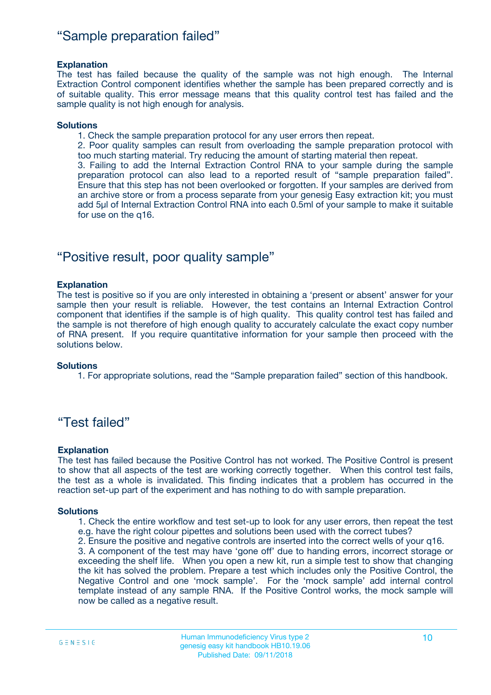## "Sample preparation failed"

### **Explanation**

The test has failed because the quality of the sample was not high enough. The Internal Extraction Control component identifies whether the sample has been prepared correctly and is of suitable quality. This error message means that this quality control test has failed and the sample quality is not high enough for analysis.

### **Solutions**

1. Check the sample preparation protocol for any user errors then repeat.

2. Poor quality samples can result from overloading the sample preparation protocol with too much starting material. Try reducing the amount of starting material then repeat.

3. Failing to add the Internal Extraction Control RNA to your sample during the sample preparation protocol can also lead to a reported result of "sample preparation failed". Ensure that this step has not been overlooked or forgotten. If your samples are derived from an archive store or from a process separate from your genesig Easy extraction kit; you must add 5µl of Internal Extraction Control RNA into each 0.5ml of your sample to make it suitable for use on the q16.

## "Positive result, poor quality sample"

### **Explanation**

The test is positive so if you are only interested in obtaining a 'present or absent' answer for your sample then your result is reliable. However, the test contains an Internal Extraction Control component that identifies if the sample is of high quality. This quality control test has failed and the sample is not therefore of high enough quality to accurately calculate the exact copy number of RNA present. If you require quantitative information for your sample then proceed with the solutions below.

### **Solutions**

1. For appropriate solutions, read the "Sample preparation failed" section of this handbook.

## "Test failed"

### **Explanation**

The test has failed because the Positive Control has not worked. The Positive Control is present to show that all aspects of the test are working correctly together. When this control test fails, the test as a whole is invalidated. This finding indicates that a problem has occurred in the reaction set-up part of the experiment and has nothing to do with sample preparation.

### **Solutions**

- 1. Check the entire workflow and test set-up to look for any user errors, then repeat the test e.g. have the right colour pipettes and solutions been used with the correct tubes?
- 2. Ensure the positive and negative controls are inserted into the correct wells of your q16.

3. A component of the test may have 'gone off' due to handing errors, incorrect storage or exceeding the shelf life. When you open a new kit, run a simple test to show that changing the kit has solved the problem. Prepare a test which includes only the Positive Control, the Negative Control and one 'mock sample'. For the 'mock sample' add internal control template instead of any sample RNA. If the Positive Control works, the mock sample will now be called as a negative result.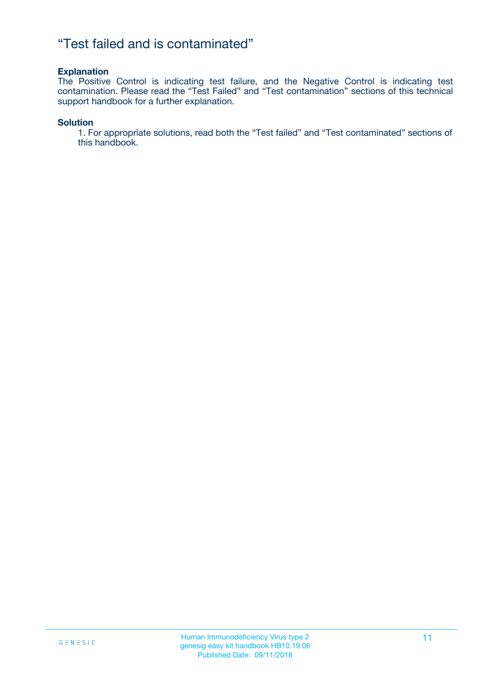## "Test failed and is contaminated"

### **Explanation**

The Positive Control is indicating test failure, and the Negative Control is indicating test contamination. Please read the "Test Failed" and "Test contamination" sections of this technical support handbook for a further explanation.

### **Solution**

1. For appropriate solutions, read both the "Test failed" and "Test contaminated" sections of this handbook.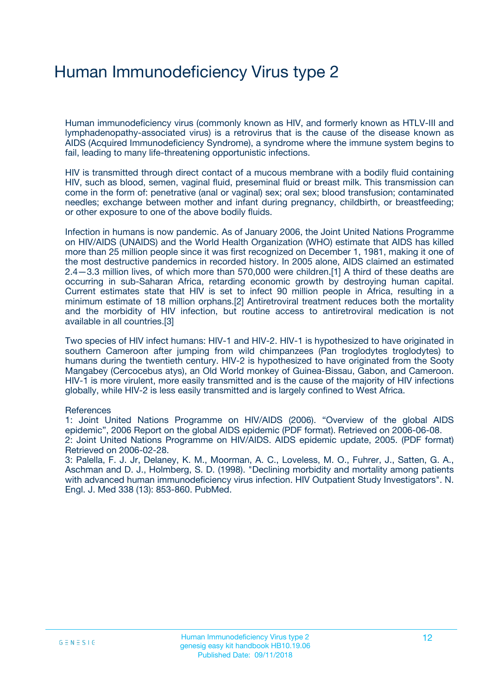## Human Immunodeficiency Virus type 2

Human immunodeficiency virus (commonly known as HIV, and formerly known as HTLV-III and lymphadenopathy-associated virus) is a retrovirus that is the cause of the disease known as AIDS (Acquired Immunodeficiency Syndrome), a syndrome where the immune system begins to fail, leading to many life-threatening opportunistic infections.

HIV is transmitted through direct contact of a mucous membrane with a bodily fluid containing HIV, such as blood, semen, vaginal fluid, preseminal fluid or breast milk. This transmission can come in the form of: penetrative (anal or vaginal) sex; oral sex; blood transfusion; contaminated needles; exchange between mother and infant during pregnancy, childbirth, or breastfeeding; or other exposure to one of the above bodily fluids.

Infection in humans is now pandemic. As of January 2006, the Joint United Nations Programme on HIV/AIDS (UNAIDS) and the World Health Organization (WHO) estimate that AIDS has killed more than 25 million people since it was first recognized on December 1, 1981, making it one of the most destructive pandemics in recorded history. In 2005 alone, AIDS claimed an estimated 2.4—3.3 million lives, of which more than 570,000 were children.[1] A third of these deaths are occurring in sub-Saharan Africa, retarding economic growth by destroying human capital. Current estimates state that HIV is set to infect 90 million people in Africa, resulting in a minimum estimate of 18 million orphans.[2] Antiretroviral treatment reduces both the mortality and the morbidity of HIV infection, but routine access to antiretroviral medication is not available in all countries.[3]

Two species of HIV infect humans: HIV-1 and HIV-2. HIV-1 is hypothesized to have originated in southern Cameroon after jumping from wild chimpanzees (Pan troglodytes troglodytes) to humans during the twentieth century. HIV-2 is hypothesized to have originated from the Sooty Mangabey (Cercocebus atys), an Old World monkey of Guinea-Bissau, Gabon, and Cameroon. HIV-1 is more virulent, more easily transmitted and is the cause of the majority of HIV infections globally, while HIV-2 is less easily transmitted and is largely confined to West Africa.

### **References**

1: Joint United Nations Programme on HIV/AIDS (2006). "Overview of the global AIDS epidemic", 2006 Report on the global AIDS epidemic (PDF format). Retrieved on 2006-06-08. 2: Joint United Nations Programme on HIV/AIDS. AIDS epidemic update, 2005. (PDF format) Retrieved on 2006-02-28.

3: Palella, F. J. Jr, Delaney, K. M., Moorman, A. C., Loveless, M. O., Fuhrer, J., Satten, G. A., Aschman and D. J., Holmberg, S. D. (1998). "Declining morbidity and mortality among patients with advanced human immunodeficiency virus infection. HIV Outpatient Study Investigators". N. Engl. J. Med 338 (13): 853-860. PubMed.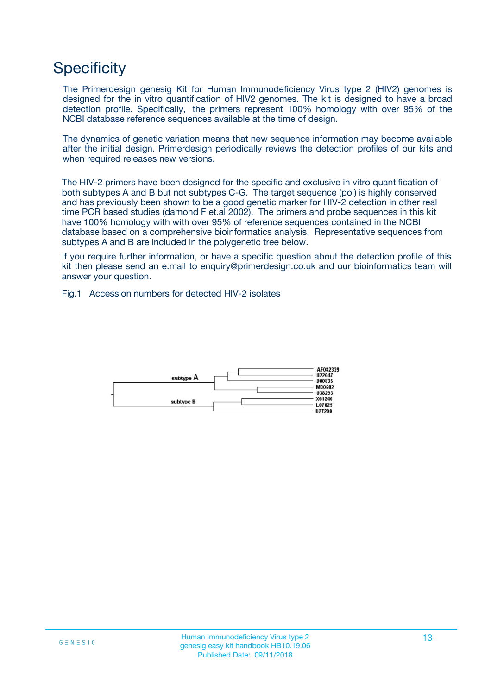## **Specificity**

The Primerdesign genesig Kit for Human Immunodeficiency Virus type 2 (HIV2) genomes is designed for the in vitro quantification of HIV2 genomes. The kit is designed to have a broad detection profile. Specifically, the primers represent 100% homology with over 95% of the NCBI database reference sequences available at the time of design.

The dynamics of genetic variation means that new sequence information may become available after the initial design. Primerdesign periodically reviews the detection profiles of our kits and when required releases new versions.

The HIV-2 primers have been designed for the specific and exclusive in vitro quantification of both subtypes A and B but not subtypes C-G. The target sequence (pol) is highly conserved and has previously been shown to be a good genetic marker for HIV-2 detection in other real time PCR based studies (damond F et.al 2002). The primers and probe sequences in this kit have 100% homology with with over 95% of reference sequences contained in the NCBI database based on a comprehensive bioinformatics analysis. Representative sequences from subtypes A and B are included in the polygenetic tree below.

If you require further information, or have a specific question about the detection profile of this kit then please send an e.mail to enquiry@primerdesign.co.uk and our bioinformatics team will answer your question.

Fig.1 Accession numbers for detected HIV-2 isolates